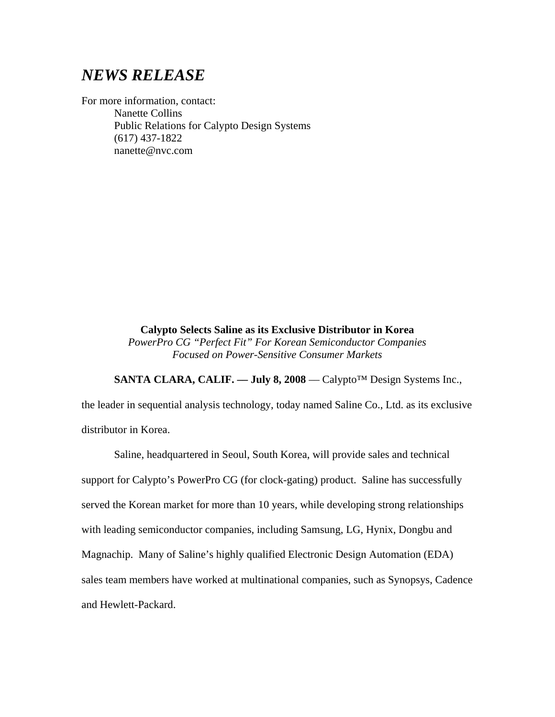## *NEWS RELEASE*

For more information, contact: Nanette Collins Public Relations for Calypto Design Systems (617) 437-1822 nanette@nvc.com

> **Calypto Selects Saline as its Exclusive Distributor in Korea**  *PowerPro CG "Perfect Fit" For Korean Semiconductor Companies*

*Focused on Power-Sensitive Consumer Markets* 

SANTA CLARA, CALIF. — July 8, 2008 — Calypto<sup>™</sup> Design Systems Inc.,

the leader in sequential analysis technology, today named Saline Co., Ltd. as its exclusive distributor in Korea.

Saline, headquartered in Seoul, South Korea, will provide sales and technical support for Calypto's PowerPro CG (for clock-gating) product. Saline has successfully served the Korean market for more than 10 years, while developing strong relationships with leading semiconductor companies, including Samsung, LG, Hynix, Dongbu and Magnachip. Many of Saline's highly qualified Electronic Design Automation (EDA) sales team members have worked at multinational companies, such as Synopsys, Cadence and Hewlett-Packard.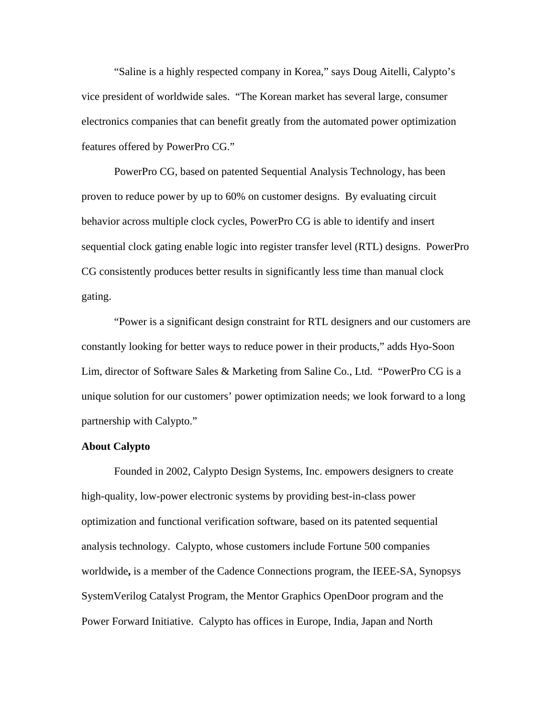"Saline is a highly respected company in Korea," says Doug Aitelli, Calypto's vice president of worldwide sales. "The Korean market has several large, consumer electronics companies that can benefit greatly from the automated power optimization features offered by PowerPro CG."

PowerPro CG, based on patented Sequential Analysis Technology, has been proven to reduce power by up to 60% on customer designs. By evaluating circuit behavior across multiple clock cycles, PowerPro CG is able to identify and insert sequential clock gating enable logic into register transfer level (RTL) designs. PowerPro CG consistently produces better results in significantly less time than manual clock gating.

"Power is a significant design constraint for RTL designers and our customers are constantly looking for better ways to reduce power in their products," adds Hyo-Soon Lim, director of Software Sales & Marketing from Saline Co., Ltd. "PowerPro CG is a unique solution for our customers' power optimization needs; we look forward to a long partnership with Calypto."

## **About Calypto**

Founded in 2002, Calypto Design Systems, Inc. empowers designers to create high-quality, low-power electronic systems by providing best-in-class power optimization and functional verification software, based on its patented sequential analysis technology. Calypto, whose customers include Fortune 500 companies worldwide**,** is a member of the Cadence Connections program, the IEEE-SA, Synopsys SystemVerilog Catalyst Program, the Mentor Graphics OpenDoor program and the Power Forward Initiative. Calypto has offices in Europe, India, Japan and North